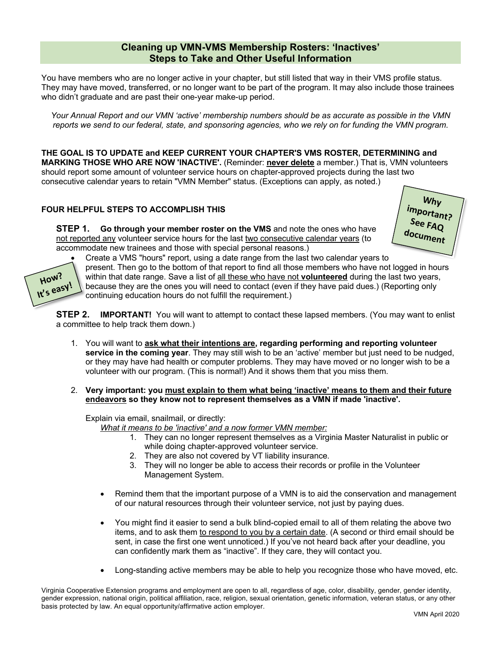## **Cleaning up VMN-VMS Membership Rosters: 'Inactives' Steps to Take and Other Useful Information**

You have members who are no longer active in your chapter, but still listed that way in their VMS profile status. They may have moved, transferred, or no longer want to be part of the program. It may also include those trainees who didn't graduate and are past their one-year make-up period.

*Your Annual Report and our VMN 'active' membership numbers should be as accurate as possible in the VMN reports we send to our federal, state, and sponsoring agencies, who we rely on for funding the VMN program.*

**THE GOAL IS TO UPDATE and KEEP CURRENT YOUR CHAPTER'S VMS ROSTER, DETERMINING and MARKING THOSE WHO ARE NOW 'INACTIVE'.** (Reminder: **never delete** a member.) That is, VMN volunteers should report some amount of volunteer service hours on chapter-approved projects during the last two consecutive calendar years to retain "VMN Member" status. (Exceptions can apply, as noted.)

## **FOUR HELPFUL STEPS TO ACCOMPLISH THIS**

**STEP 1. Go through your member roster on the VMS** and note the ones who have not reported any volunteer service hours for the last two consecutive calendar years (to accommodate new trainees and those with special personal reasons.)





• Create a VMS "hours" report, using a date range from the last two calendar years to present. Then go to the bottom of that report to find all those members who have not logged in hours within that date range. Save a list of all these who have not **volunteered** during the last two years, because they are the ones you will need to contact (even if they have paid dues.) (Reporting only

continuing education hours do not fulfill the requirement.)

**STEP 2. IMPORTANT!** You will want to attempt to contact these lapsed members. (You may want to enlist a committee to help track them down.)

- 1. You will want to **ask what their intentions are, regarding performing and reporting volunteer service in the coming year**. They may still wish to be an 'active' member but just need to be nudged, or they may have had health or computer problems. They may have moved or no longer wish to be a volunteer with our program. (This is normal!) And it shows them that you miss them.
- 2. **Very important: you must explain to them what being 'inactive' means to them and their future endeavors so they know not to represent themselves as a VMN if made 'inactive'.**

Explain via email, snailmail, or directly:

- *What it means to be 'inactive' and a now former VMN member:*
	- 1. They can no longer represent themselves as a Virginia Master Naturalist in public or while doing chapter-approved volunteer service.
	- 2. They are also not covered by VT liability insurance.
	- 3. They will no longer be able to access their records or profile in the Volunteer Management System.
- Remind them that the important purpose of a VMN is to aid the conservation and management of our natural resources through their volunteer service, not just by paying dues.
- You might find it easier to send a bulk blind-copied email to all of them relating the above two items, and to ask them to respond to you by a certain date. (A second or third email should be sent, in case the first one went unnoticed.) If you've not heard back after your deadline, you can confidently mark them as "inactive". If they care, they will contact you.
- Long-standing active members may be able to help you recognize those who have moved, etc.